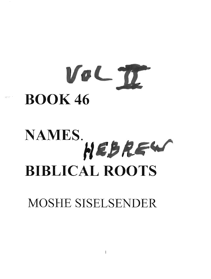# VOL 70. **BOOK 46**

## $NAMES.$  $H$ **BIBLICAL ROOTS**

MOSHE SISELSENDER

 $\bf{l}$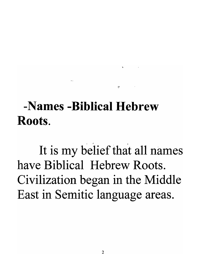#### -Names -Biblical Hebrew Roots.

It is my belief that all names have Biblical Hebrew Roots. Civilization began in the Middle East in Semitic language areas.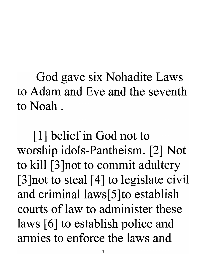God gave six Nohadite Laws to Adam and Eve and the seventh to Noah.

[1] belief in God not to worship idols-Pantheism. [2] Not to kill [3 ]not to commit adultery [3 ]not to steal [4] to legislate civil and criminal laws[5] to establish courts of law to administer these laws [6] to establish police and armies to enforce the laws and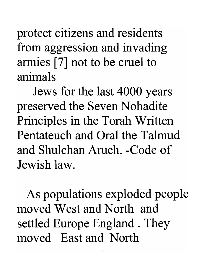protect citizens and residents from aggression and invading armies [7] not to be cruel to animals

Jews for the last 4000 years preserved the Seven Nohadite Principles in the Torah Written Pentateuch and Oral the Talmud and Shulchan Aruch. -Code of Jewish law.

As populations exploded people moved West and North and settled Europe England . They moved East and North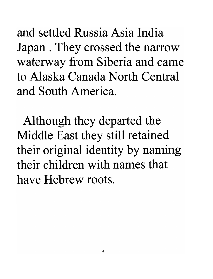and settled Russia Asia India Japan . They crossed the narrow waterway from Siberia and came to Alaska Canada North Central and South America.

Although they departed the Middle East they still retained their original identity by naming their children with names that have Hebrew roots.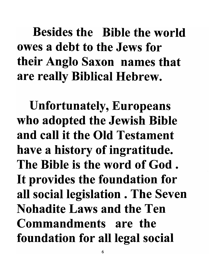#### Besides the Bible the world owes a debt to the Jews for their Anglo Saxon names that are really Biblical Hebrew.

Unfortunately, Europeans who adopted the Jewish Bible and call it the Old Testament have a history of ingratitude. The Bible is the word of God . It provides the foundation for all social legislation . The Seven Nohadite Laws and the Ten Commandments are the foundation for all legal social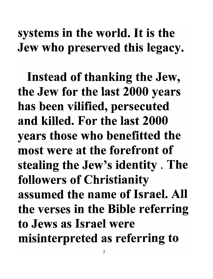#### systems in the world. It is the Jew who preserved this legacy.

Instead of thanking the Jew, the Jew for the last 2000 years has been vilified, persecuted and killed. For the last 2000 years those who benefitted the most were at the forefront of stealing the Jew's identity. The followers of Christianity assumed the name of Israel. All the verses in the Bible referring to Jews as Israel were misinterpreted as referring to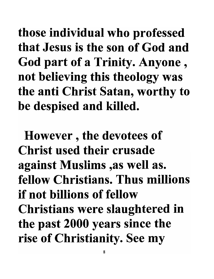those individual who professed that Jesus is the son of God and God part of a Trinity. Anyone , not believing this theology was the anti Christ Satan, worthy to be despised and killed.

However , the devotees of Christ used their crusade against Muslims ,as well as. fellow Christians. Thus millions if not billions of fellow Christians were slaughtered in the past 2000 years since the rise of Christianity. See my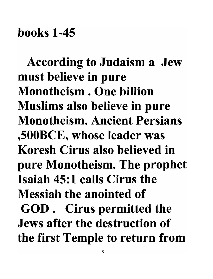#### books 1-45

According to Judaism a Jew must believe in pure Monotheism . One billion Muslims also believe in pure Monotheism. Ancient Persians ,500BCE, whose leader was Koresh Cirus also believed in pure Monotheism. The prophet Isaiah 45:1 calls Cirus the Messiah the anointed of GOD. Cirus permitted the Jews after the destruction of the first Temple to return from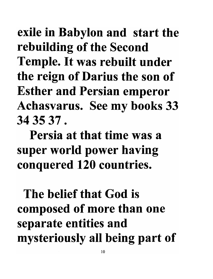exile in Babylon and start the rebuilding of the Second Temple. It was rebuilt under the reign of Darius the son of Esther and Persian emperor Achasvarus. See my books 33 34 35 37 .

Persia at that time was a super world power having conquered 120 countries.

The belief that God is composed of more than one separate entities and mysteriously all being part of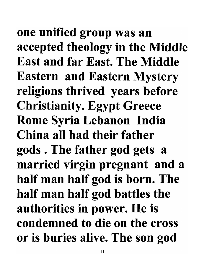one unified group was an accepted theology in the Middle East and far East. The Middle Eastern and Eastern Mystery religions thrived years before Christianity. Egypt Greece Rome Syria Lebanon India China all had their father gods. The father god gets a married virgin pregnant and a half man half god is born. The half man half god battles the authorities in power. He is condemned to die on the cross or is buries alive. The son god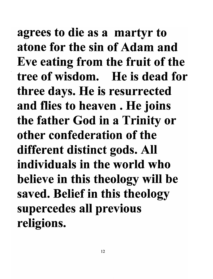agrees to die as a martyr to atone for the sin of Adam and Eve eating from the fruit of the tree of wisdom. He is dead for three days. He is resurrected and flies to heaven. He joins the father God in a Trinity or other confederation of the different distinct gods. All individuals in the world who believe in this theology will be saved. Belief in this theology supercedes all previous religions.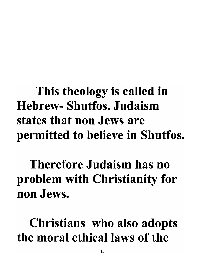### This theology is called in Hebrew- Shutfos. Judaism states that non Jews are permitted to believe in Shutfos.

Therefore Judaism has no problem with Christianity for non Jews.

Christians who also adopts the moral ethical laws of the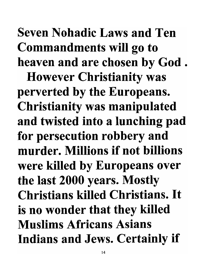### Seven Nohadic Laws and Ten Commandments will go to heaven and are chosen by God.

However Christianity was perverted by the Europeans. Christianity was manipulated and twisted into a lunching pad for persecution robbery and murder. Millions if not billions were killed by Europeans over the last 2000 years. Mostly Christians killed Christians. It is no wonder that they killed Muslims Africans Asians Indians and Jews. Certainly if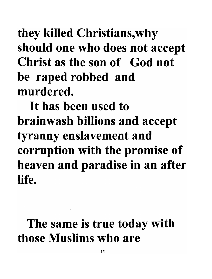### they killed Christians, why should one who does not accept Christ as the son of God not be raped robbed and murdered.

It has been used to brainwash billions and accept tyranny enslavement and corruption with the promise of heaven and paradise in an after life.

### The same is true today with those Muslims who are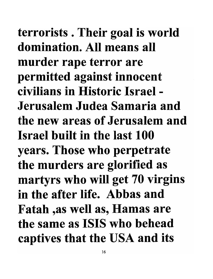terrorists . Their goal is world domination. All means all murder rape terror are permitted against innocent civilians in Historic Israel - Jerusalem Judea Samaria and the new areas of Jerusalem and Israel built in the last 100 years. Those who perpetrate the murders are glorified as martyrs who will get 70 virgins in the after life. Abbas and Fatah ,as well as, Hamas are the same as ISIS who behead captives that the USA and its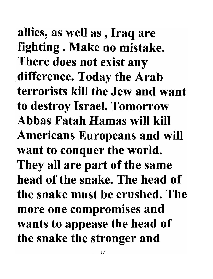allies, as well as , Iraq are fighting . Make no mistake. There does not exist any difference. Today the Arab terrorists kill the Jew and want to destroy Israel. Tomorrow Abbas Fatah Hamas will kill Americans Europeans and will want to conquer the world. They all are part of the same head of the snake. The head of the snake must be crushed. The more one compromises and wants to appease the head of the snake the stronger and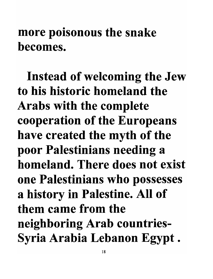#### more poisonous the snake becomes.

Instead of welcoming the Jew to his historic homeland the Arabs with the complete cooperation of the Europeans have created the myth of the poor Palestinians needing a homeland. There does not exist one Palestinians who possesses a history in Palestine. All of them came from the neighboring Arab countries-Syria Arabia Lebanon Egypt.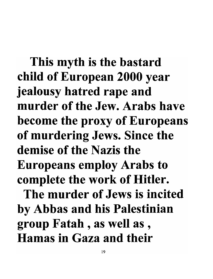This myth is the bastard child of European 2000 year jealousy hatred rape and murder of the Jew. Arabs have become the proxy of Europeans of murdering Jews. Since the demise of the Nazis the Europeans employ Arabs to complete the work of Hitler. The murder of Jews is incited

by Abbas and his Palestinian group Fatah , as well as , Hamas in Gaza and their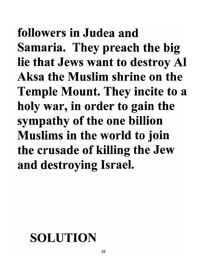followers in Judea and Samaria. They preach the big lie that Jews want to destroy Al Aksa the Muslim shrine on the Temple Mount. They incite to a holy war, in order to gain the sympathy of the one billion Muslims in the world to join the crusade of killing the Jew and destroying Israel.

#### SOLUTION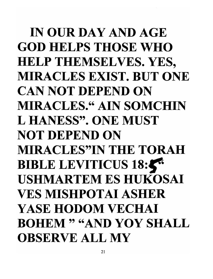IN OUR DAY AND AGE GOD HELPS THOSE WHO HELP THEMSELVES. YES, MIRACLES EXIST. BUT ONE CAN NOT DEPEND ON MIRACLES." AIN SOMCHIN L HANESS". ONE MUST NOT DEPEND ON MIRACLES"IN THE TORAH BIBLE LEVITICUS 18:5 USHMARTEM ES HUKOSAI VES MISHPOTAI ASHER YASE HODOM VECHAI BOHEM " "AND YOY SHALL OBSERVE ALL MY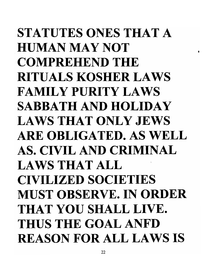STATUTES ONES THAT A HUMANMAYNOT COMPREHEND THE RITUALS KOSHER LAWS FAMILY PURITY LAWS SABBATH AND HOLIDAY LAWS THAT ONLY JEWS ARE OBLIGATED. AS WELL AS. CIVIL AND CRIMINAL LAWS THAT ALL CIVILIZED SOCIETIES MUST OBSERVE. IN ORDER THAT YOU SHALL LIVE. THUS THE GOAL ANFD REASON FOR ALL LAWS IS

•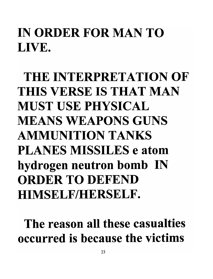### IN ORDER FOR MAN TO LIVE.

THE INTERPRETATION OF THIS VERSE IS THAT MAN MUST USE PHYSICAL MEANS WEAPONS GUNS AMMUNITION TANKS PLANES MISSILES e atom hydrogen neutron bomb IN ORDER TO DEFEND HIMSELF/HERSELF.

The reason all these casualties occurred is because the victims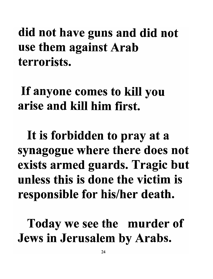did not have guns and did not use them against Arab . terrorists.

If anyone comes to kill you arise and kill him first.

It is forbidden to pray at a synagogue where there does not exists armed guards. Tragic but unless this is done the victim is responsible for his/her death.

Today we see the murder of Jews in Jerusalem by Arabs.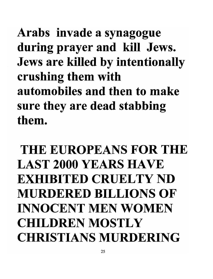Arabs invade a synagogue during prayer and kill Jews. Jews are killed by intentionally crushing them with automobiles and then to make sure they are dead stabbing them.

### THE EUROPEANS FOR THE LAST 2000 YEARS HAVE EXHIBITED CRUELTY ND MURDERED BILLIONS OF INNOCENT MEN WOMEN CHILDREN MOSTLY CHRISTIANS MURDERING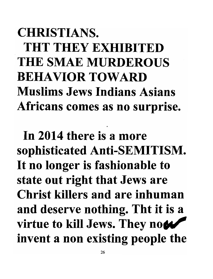### CHRISTIANS. THT THEY EXHIBITED THE SMAE MURDEROUS BEHAVIOR TOWARD Muslims Jews Indians Asians Africans comes as no surprise.

In 2014 there is a more sophisticated Anti-SEMITISM. It no longer is fashionable to state out right that Jews are Christ killers and are inhuman and deserve nothing. Tht it is a virtue to kill Jews. They now invent a non existing people the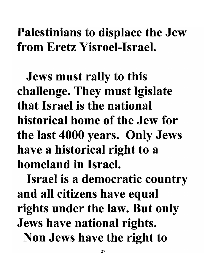#### Palestinians to displace the Jew from Eretz Yisroel-Israel.

Jews must rally to this challenge. They must lgislate that Israel is the national historical home of the Jew for the last 4000 years. Only Jews have a historical right to a homeland in Israel.

Israel is a democratic country and all citizens have equal rights under the law. But only Jews have national rights. Non Jews have the right to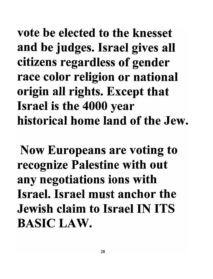vote be elected to the knesset and be judges. Israel gives all citizens regardless of gender race color religion or national origin all rights. Except that Israel is the 4000 year historical home land of the Jew.

Now Europeans are voting to recognize Palestine with out any negotiations ions with Israel. Israel must anchor the Jewish claim to Israel IN ITS BASIC LAW.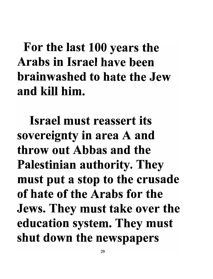### For the last 100 years the Arabs in Israel have been brainwashed to hate the Jew and kill him.

Israel must reassert its sovereignty in area A and throw out Abbas and the Palestinian authority. They must put a stop to the crusade of hate of the Arabs for the Jews. They must take over the education system. They must shut down the newspapers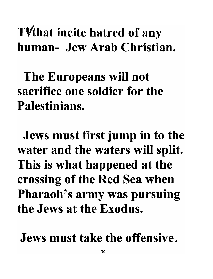#### TVthat incite hatred of any human- Jew Arab Christian.

The Europeans will not sacrifice one soldier for the Palestinians.

Jews must first jump in to the water and the waters will split. This is what happened at the crossing of the Red Sea when Pharaoh's army was pursuing the Jews at the Exodus.

#### Jews must take the offensive,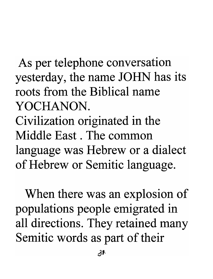As per telephone conversation yesterday, the name JOHN has its roots from the Biblical name YOCHANON. Civilization originated in the Middle East. The common language was Hebrew or a dialect of Hebrew or Semitic language.

When there was an explosion of populations people emigrated in all directions. They retained many Semitic words as part of their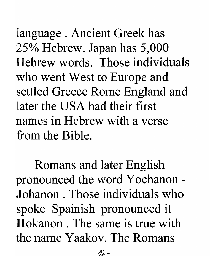language . Ancient Greek has 25% Hebrew. Japan has 5,000 Hebrew words. Those individuals who went West to Europe and settled Greece Rome England and later the USA had their first names in Hebrew with a verse from the Bible.

Romans and later English pronounced the word Y ochanon - **J**ohanon. Those individuals who spoke Spainish pronounced it Hokanon . The same is true with the name Yaakov. The Romans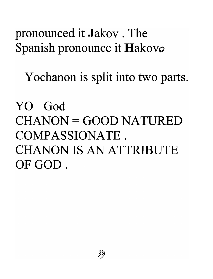#### pronounced it Jakov. The Spanish pronounce it Hakovø

Yochanon is split into two parts.

 $YO = God$  $CHANON = GOOD NATURED$ COMPASSIONATE. CHANON IS AN ATTRIBUTE OF GOD.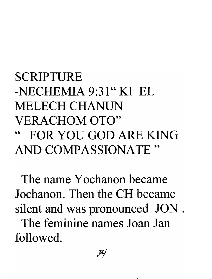#### SCRIPTURE  $-NECHEMIA 9:31" KIFEL$ MELECH CHANUN VERACHOM OTO" FOR YOU GOD ARE KING AND COMPASSIONATE"

The name Yochanon became Jochanon. Then the CH became silent and was pronounced JON . The feminine names Joan Jan followed.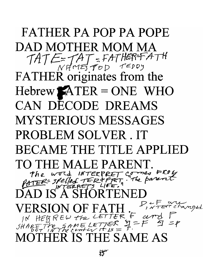FATHER PA POP PA POPE DAD MOTHER MOM MA TATE: TAT: FATHER=FATH FATHER originates from the  $Hebrew$   $ATER = ONE$  WHO CAN DECODE DREAMS MYSTERIOUS MESSAGES PROBLEM SOLVER. IT BECAME THE TITLE APPLIED TO THE MALE PARENT. THE MALE PARENT.<br>The word INTERPRET comes FROL The word INTERPRET comes FROY  $\widetilde{\mathrm{DAD}}$  IS"A SHORTENED  $VERSION OF FATH.$ <sup>P,  $VTERE$ </sup> changel  $j$ N HEBREW the LETTER + cerry 1<br>SHARE The SAME LETTER  $\Xi = F$   $\Xi$  =  $F$ MOTHER IS THE SAME AS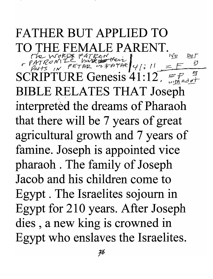#### FATHER BUT APPLIED TO TO THE FEMALE PARENT. THE FEMALE PARENT.<br>The words pareox for **i** in por  $P_{P}$   $P_{A}$  $P_{B}$  $P_{C}$  $P_{C}$  $P_{C}$  $P_{C}$  $P_{C}$  $P_{D}$  $P_{E}$  $P_{E}$  $P_{E}$  $P_{E}$  $P_{E}$  $P_{E}$  $P_{E}$  $P_{E}$  $P_{E}$  $P_{E}$  $P_{E}$  $P_{E}$  $P_{E}$  $P_{E}$  $P_{E}$  $P_{E}$  $P_{E}$  $P_{E}$  $P_{E}$  $P_{E}$  $P_{E}$  $P_{E}$  $P_{E}$  $P_{E}$  $P_{E}$  $P_{E}$  $P_{E}$  $P_{E$  $SCRIPTURE$  Genesis 41:12,  $\epsilon_{Mhdof}$ BIBLE RELATES THAT Joseph interpreted the dreams of Pharaoh that there will be 7 years of great agricultural growth and 7 years of famine. Joseph is appointed vice pharaoh . The family of Joseph Jacob and his children come to Egypt. The Israelites sojourn in Egypt for 210 years. After Joseph dies , a new king is crowned in Egypt who enslaves the Israelites.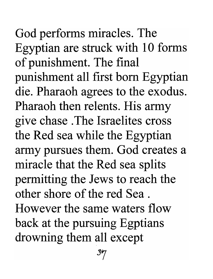God performs miracles. The Egyptian are struck with 10 forms of punishment. The final punishment all first born Egyptian die. Pharaoh agrees to the exodus. Pharaoh then relents. His army give chase . The Israelites cross the Red sea while the Egyptian army pursues them. God creates a miracle that the Red sea splits permitting the Jews to reach the other shore of the red Sea . However the same waters flow back at the pursuing Egptians drowning them all except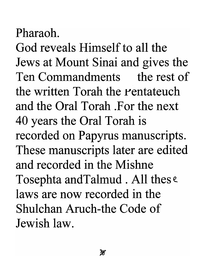### Pharaoh.

God reveals Himself to all the Jews at Mount Sinai and gives the Ten Commandments the rest of the written Torah the Pentateuch and the Oral Torah .For the next 40 years the Oral Torah is recorded on Papyrus manuscripts. These manuscripts later are edited and recorded in the Mishne Tosephta andTalmud . All thes e. laws are now recorded in the Shulchan Aruch-the Code of Jewish law.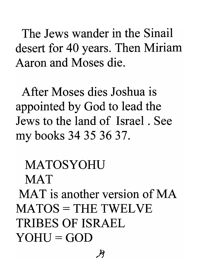The Jews wander in the Sinail desert for 40 years. Then Miriam Aaron and Moses die.

After Moses dies Joshua is appointed by God to lead the Jews to the land of Israel. See my books 34 35 36 37.

**MATOSYOHU MAT** MAT is another version of MA MATOS = THE TWELVE TRIBES OF ISRAEL  $YOHU = GOD$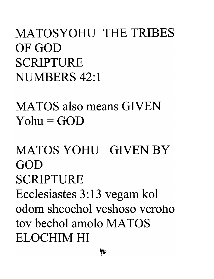#### MATOSYOHU=THE TRIBES OF GOD SCRIPTURE NUMBERS 42:1

MATOS also means GIVEN  $Yohu = GOD$ 

### MATOS YOHU =GIVEN BY GOD SCRIPTURE Ecclesiastes 3: 13 vegam kol adorn sheochol veshoso veroho toy bechol amolo MATOS ELOCHIM HI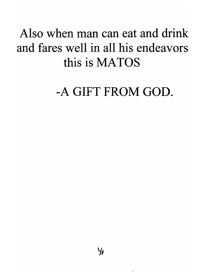#### Also when man can eat and drink and fares well in all his endeavors this is MATOS

#### -A GIFT FROM GOD.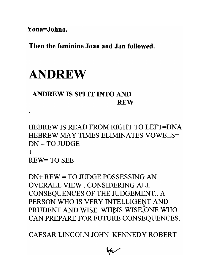**Yona=Johna.** 

**Then the feminine Joan and Jan followed.** 

#### ANDREW

#### ANDREW **IS SPLIT INTO AND REW**

HEBREW IS READ FROM RIGHT TO LEFT=DNA HEBREW MAY TIMES ELIMINATES VOWELS=  $DN = TOJUDGE$ +

REW=TO SEE

DN+ REW = TO JUDGE POSSESSING AN OVERALL VIEW . CONSIDERING ALL CONSEQUENCES OF THE JUDGEMENT.. A PERSON WHO IS VERY INTELLIGENT AND PRUDENT AND WISE. WHDIS WISE, ONE WHO CAN pREPARE FOR FUTURE CONSEQUENCES.

CAESAR LINCOLN JOHN KENNEDY ROBERT

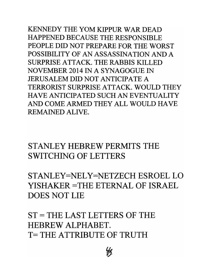KENNEDY THE YOM KIPPUR WAR DEAD HAPPENED BECAUSE THE RESPONSIBLE PEOPLE DID NOT PREPARE FOR THE WORST POSSIBILITY OF AN ASSASSINATION AND A SURPRISE ATTACK. THE RABBIS KILLED NOVEMBER 2014 IN A SYNAGOGUE IN JERUSALEM DID NOT ANTICIPATE A TERRORIST SURPRISE ATTACK. WOULD THEY HAVE ANTICIPATED SUCH AN EVENTUALITY AND COME ARMED THEY ALL WOULD HAVE REMAINED ALIVE.

STANLEY HEBREW PERMITS THE SWITCHING OF LETTERS

STANLEY=NELY=NETZECH ESROEL LO YISHAKER =THE ETERNAL OF ISRAEL DOES NOT LIE

ST= THE LAST LETTERS OF THE HEBREW ALPHABET. T= THE ATTRIBUTE OF TRUTH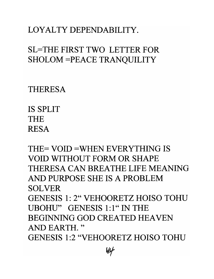#### LOYALTY DEPENDABILITY.

#### SL=THE FIRST TWO LETTER FOR SHOLOM =PEACE TRANQUILITY

THERESA

**IS** SPLIT THE RESA

THE= VOID =WHEN EVERYTHING **IS**  VOID WITHOUT FORM OR SHAPE THERESA CAN BREATHE LIFE MEANING AND PURPOSE SHE **IS** A PROBLEM SOLVER GENESIS 1: 2" VEHOORETZ HOISO TOHU UBOHU" GENESIS 1:1" IN THE BEGINNING GOD CREATED HEAVEN AND EARTH. " GENESIS 1:2 "VEHOORETZ HOISO TOHU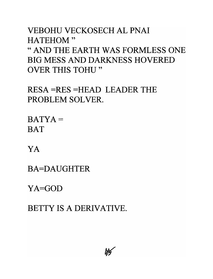VEBOHU VECKOSECH AL PNAI HATEHOM" "AND THE EARTH WAS FORMLESS ONE BIG MESS AND DARKNESS HOVERED OVER THIS TOHU "

RESA =RES =HEAD LEADER THE PROBLEM SOLVER.

 $BATYA =$ **BAT** 

YA

BA=DAUGHTER

YA=GOD

BETTY **IS A** DERIVATIVE.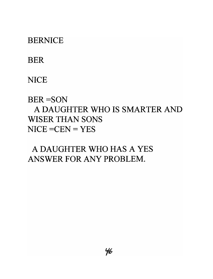#### **BERNICE**

#### BER

#### **NICE**

BER=SON

#### A DAUGHTER WHO **IS** SMARTER AND WISER THAN SONS  $NICE = CEN = YES$

#### A DAUGHTER WHO HAS A YES ANSWER FOR ANY PROBLEM.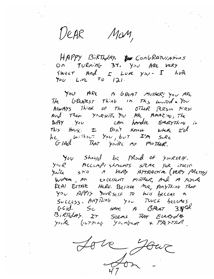DeAR Man,

 $100\nu$   $13:971$  lay  $14\nu$ ,  $15\nu$ F(1)<sup>2</sup>/ *ANTION-* WALLANDIANS  $\ddot{U}$  *n TURnin*b 34. You ARE VERY  $Sweer$  And  $r$  *Love*  $y_{0v}$ .  $I$  *LoR*<br> $y_{0v}$  *Live*  $T_0$  *i*  $\lambda$ *i*.

'j-:JU r4Rt ft & Re/9-1 ~r.iTkRj '!-:;, *v* ;4~ TA TAKE IT UREAS TOINER; YOU THE The GREATEST ThinG in The world. You AIWAYS Think of The OTHer PERSON First And Then  $Y$ <sup>3</sup> $x$  $x$  $\overline{r}$ ,  $y$  $y$  AR AMAZ  $v$ , The  $n$ Ay you can bandle Everything in be... **I** DA! **Know** where  $\mathcal{L} = \mathcal{L} \mathcal{L} \mathcal{L}$ Without You, but I'm Sure

"I&> *V* 5"~"IJ b~ \_ rt<.:>vJ U *Y.)vKse* IF' <sup>~</sup> You, Shou<sub>ld</sub>, be PRoved it yourself. *yvvlzt s* .,.,-. */1* fi h.-/r} & *n-R4 C,71* -;e., (/I't,R~ j7*d t. 'r't/*  you're still A Very ATTRACTION (VRRY PRETTY)  $m^2$  and  $m^2$  excellent mother, and m survive  $\frac{1}{4}$  il.  $\frac{1}{4}$  il.  $\frac{1}{4}$ Surveyor Silly 10 Mill bellar a *rccess. Antiking* you rouch becomes <sup>13</sup>j *1(P..tf.;,.;"* . *l:.7- SellA.5* ~ <sup>5</sup>~t:/~), <sup>I</sup> BIRAday. IT Seems That Everyday<br>You're butting Youngener & PRETTER.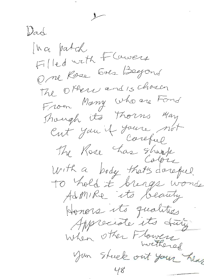Wad Inci patch Filled with Flawers Ome Rose Sols Begond The Others and is chosen From Mary who are Fond Though its Thorns May Cut you it youre not The Rose has shirt With a body that's dorogue To hold it brings wonds Admire its beauty Honors its qualities Appreciate its duty. When other Flowers You steek out your hear